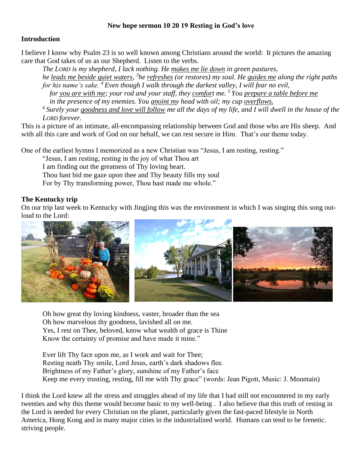## **New hope sermon 10 20 19 Resting in God's love**

## **Introduction**

I believe I know why Psalm 23 is so well known among Christians around the world: It pictures the amazing care that God takes of us as our Shepherd. Listen to the verbs.

*The LORD is my shepherd, I lack nothing. He makes me lie down in green pastures, he <u>leads me beside quiet waters</u>, <sup>3</sup> he <u>refreshes</u> (or restores) my soul. He guides me along the right paths for his name's sake. <sup>4</sup> Even though I walk through the darkest valley, I will fear no evil, for you are with me; your rod and your staff, they comfort me. <sup>5</sup> You prepare a table before me in the presence of my enemies. You anoint my head with oil; my cup overflows.*

*6 Surely your goodness and love will follow me all the days of my life, and I will dwell in the house of the LORD forever.*

This is a picture of an intimate, all-encompassing relationship between God and those who are His sheep. And with all this care and work of God on our behalf, we can rest secure in Him. That's our theme today.

One of the earliest hymns I memorized as a new Christian was "Jesus, I am resting, resting."

"Jesus, I am resting, resting in the joy of what Thou art

I am finding out the greatness of Thy loving heart.

Thou hast bid me gaze upon thee and Thy beauty fills my soul

For by Thy transforming power, Thou hast made me whole."

## **The Kentucky trip**

On our trip last week to Kentucky with Jingjing this was the environment in which I was singing this song outloud to the Lord:



Oh how great thy loving kindness, vaster, broader than the sea Oh how marvelous thy goodness, lavished all on me. Yes, I rest on Thee, beloved, know what wealth of grace is Thine Know the certainty of promise and have made it mine."

Ever lift Thy face upon me, as I work and wait for Thee; Resting neath Thy smile, Lord Jesus, earth's dark shadows flee. Brightness of my Father's glory, sunshine of my Father's face Keep me every trusting, resting, fill me with Thy grace" (words: Jean Pigott, Music: J. Mountain)

I think the Lord knew all the stress and struggles ahead of my life that I had still not encountered in my early twenties and why this theme would become basic to my well-being . I also believe that this truth of resting in the Lord is needed for every Christian on the planet, particularly given the fast-paced lifestyle in North America, Hong Kong and in many major cities in the industrialized world. Humans can tend to be frenetic. striving people.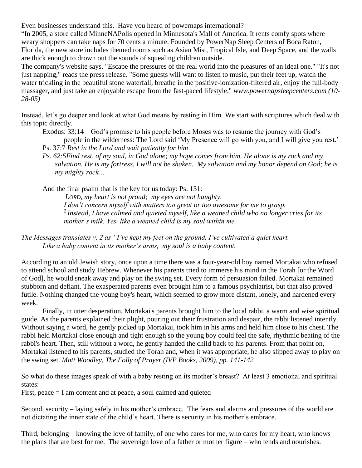Even businesses understand this. Have you heard of powernaps international?

"In 2005, a store called MinneNAPolis opened in Minnesota's Mall of America. It rents comfy spots where weary shoppers can take naps for 70 cents a minute. Founded by PowerNap Sleep Centers of Boca Raton, Florida, the new store includes themed rooms such as Asian Mist, Tropical Isle, and Deep Space, and the walls are thick enough to drown out the sounds of squealing children outside.

The company's website says, "Escape the pressures of the real world into the pleasures of an ideal one." "It's not just napping," reads the press release. "Some guests will want to listen to music, put their feet up, watch the water trickling in the beautiful stone waterfall, breathe in the positive-ionization-filtered air, enjoy the full-body massager, and just take an enjoyable escape from the fast-paced lifestyle." *www.powernapsleepcenters.com (10- 28-05)*

Instead, let's go deeper and look at what God means by resting in Him. We start with scriptures which deal with this topic directly.

Exodus: 33:14 – God's promise to his people before Moses was to resume the journey with God's people in the wilderness: The Lord said 'My Presence will go with you, and I will give you rest.' Ps. 37:7 *Rest in the Lord and wait patiently for him*

*Ps. 62:5Find rest, of my soul, in God alone; my hope comes from him. He alone is my rock and my salvation. He is my fortress, I will not be shaken. My salvation and my honor depend on God; he is my mighty rock…*

And the final psalm that is the key for us today: Ps. 131:

*LORD, my heart is not proud; my eyes are not haughty. I don't concern myself with matters too great or too awesome for me to grasp. 2 Instead, I have calmed and quieted myself, like a weaned child who no longer cries for its mother's milk. Yes, like a weaned child is my soul within me.*

*The Messages translates v. 2 as "I've kept my feet on the ground, I've cultivated a quiet heart. Like a baby content in its mother's arms, my soul is a baby content.*

According to an old Jewish story, once upon a time there was a four-year-old boy named Mortakai who refused to attend school and study Hebrew. Whenever his parents tried to immerse his mind in the Torah [or the Word of God], he would sneak away and play on the swing set. Every form of persuasion failed. Mortakai remained stubborn and defiant. The exasperated parents even brought him to a famous psychiatrist, but that also proved futile. Nothing changed the young boy's heart, which seemed to grow more distant, lonely, and hardened every week.

Finally, in utter desperation, Mortakai's parents brought him to the local rabbi, a warm and wise spiritual guide. As the parents explained their plight, pouring out their frustration and despair, the rabbi listened intently. Without saying a word, he gently picked up Mortakai, took him in his arms and held him close to his chest. The rabbi held Mortakai close enough and tight enough so the young boy could feel the safe, rhythmic beating of the rabbi's heart. Then, still without a word, he gently handed the child back to his parents. From that point on, Mortakai listened to his parents, studied the Torah and, when it was appropriate, he also slipped away to play on the swing set. *Matt Woodley, The Folly of Prayer (IVP Books, 2009), pp. 141-142*

So what do these images speak of with a baby resting on its mother's breast? At least 3 emotional and spiritual states:

First, peace  $= I$  am content and at peace, a soul calmed and quieted

Second, security – laying safely in his mother's embrace. The fears and alarms and pressures of the world are not dictating the inner state of the child's heart. There is security in his mother's embrace.

Third, belonging – knowing the love of family, of one who cares for me, who cares for my heart, who knows the plans that are best for me. The sovereign love of a father or mother figure – who tends and nourishes.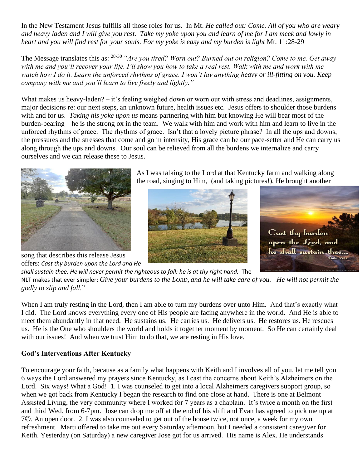In the New Testament Jesus fulfills all those roles for us. In Mt. *He called out: Come. All of you who are weary and heavy laden and I will give you rest. Take my yoke upon you and learn of me for I am meek and lowly in heart and you will find rest for your souls. For my yoke is easy and my burden is light* Mt. 11:28-29

The Message translates this as: 28-30 *"Are you tired? Worn out? Burned out on religion? Come to me. Get away with me and you'll recover your life. I'll show you how to take a real rest. Walk with me and work with me* watch how I do it. Learn the unforced rhythms of grace. I won't lay anything heavy or ill-fitting on you. Keep *company with me and you'll learn to live freely and lightly."*

What makes us heavy-laden? – it's feeling weighed down or worn out with stress and deadlines, assignments, major decisions re: our next steps, an unknown future, health issues etc. Jesus offers to shoulder those burdens with and for us. *Taking his yoke upon us* means partnering with him but knowing He will bear most of the burden-bearing – he is the strong ox in the team. We walk with him and work with him and learn to live in the unforced rhythms of grace. The rhythms of grace. Isn't that a lovely picture phrase? In all the ups and downs, the pressures and the stresses that come and go in intensity, His grace can be our pace-setter and He can carry us along through the ups and downs. Our soul can be relieved from all the burdens we internalize and carry ourselves and we can release these to Jesus.



As I was talking to the Lord at that Kentucky farm and walking along the road, singing to Him, (and taking pictures!), He brought another





song that describes this release Jesus offers: *Cast thy burden upon the Lord and He* 

*shall sustain thee. He will never permit the righteous to fall; he is at thy right hand.* The NLT makes that ever simpler: *Give your burdens to the LORD, and he will take care of you. He will not permit the godly to slip and fall.*"

When I am truly resting in the Lord, then I am able to turn my burdens over unto Him. And that's exactly what I did. The Lord knows everything every one of His people are facing anywhere in the world. And He is able to meet them abundantly in that need. He sustains us. He carries us. He delivers us. He restores us. He rescues us. He is the One who shoulders the world and holds it together moment by moment. So He can certainly deal with our issues! And when we trust Him to do that, we are resting in His love.

## **God's Interventions After Kentucky**

To encourage your faith, because as a family what happens with Keith and I involves all of you, let me tell you 6 ways the Lord answered my prayers since Kentucky, as I cast the concerns about Keith's Alzheimers on the Lord. Six ways! What a God! 1. I was counseled to get into a local Alzheimers caregivers support group, so when we got back from Kentucky I began the research to find one close at hand. There is one at Belmont Assisted Living, the very community where I worked for 7 years as a chaplain. It's twice a month on the first and third Wed. from 6-7pm. Jose can drop me off at the end of his shift and Evan has agreed to pick me up at 7☺. An open door. 2. I was also counseled to get out of the house twice, not once, a week for my own refreshment. Marti offered to take me out every Saturday afternoon, but I needed a consistent caregiver for Keith. Yesterday (on Saturday) a new caregiver Jose got for us arrived. His name is Alex. He understands